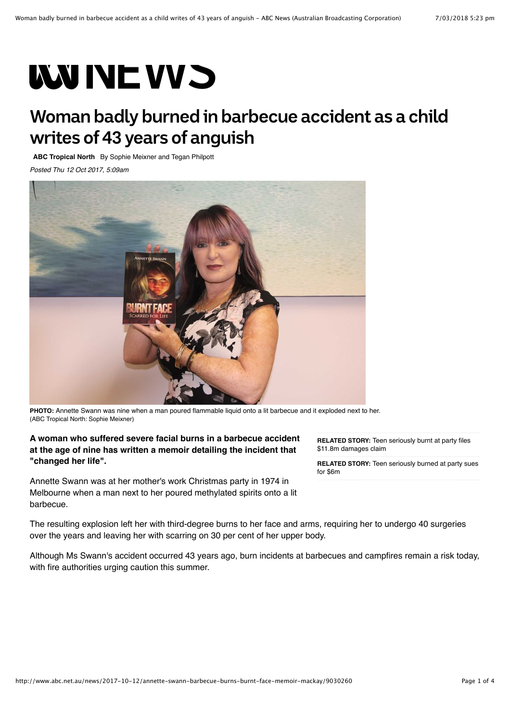# **WWINE VVS**

## **Woman badly burned in barbecue accident as a child writes of 43 years of anguish**

**[ABC Tropical North](http://www.abc.net.au/tropic/)** By [Sophie Meixner](http://www.abc.net.au/news/abc-local/sophie-meixner/8300662) and [Tegan Philpott](http://www.abc.net.au/news/abc-local/philpott-/7396946)

*Posted Thu 12 Oct 2017, 5:09am*



**PHOTO:** [Annette Swann was nine when a man poured flammable liquid onto a lit barbecue and it exploded next to her.](http://www.abc.net.au/news/2017-10-12/annette-swann-in-mackay/9034134) (ABC Tropical North: Sophie Meixner)

#### **A woman who suffered severe facial burns in a barbecue accident at the age of nine has written a memoir detailing the incident that "changed her life".**

Annette Swann was at her mother's work Christmas party in 1974 in Melbourne when a man next to her poured methylated spirits onto a lit barbecue.

**RELATED STORY:** [Teen seriously burnt at party files](http://www.abc.net.au/news/2016-07-22/teenager-seriously-burnt-at-party-damages-claim-paris-turkington/7651988) \$11.8m damages claim

**RELATED STORY:** [Teen seriously burned at party sues](http://www.abc.net.au/news/2016-08-19/teen-seriously-burnt-matthew-richards-toowoomba-house-party-sues/7761944) for \$6m

The resulting explosion left her with third-degree burns to her face and arms, requiring her to undergo 40 surgeries over the years and leaving her with scarring on 30 per cent of her upper body.

Although Ms Swann's accident occurred 43 years ago, burn incidents at barbecues and campfires [remain a risk](http://www.abc.net.au/news/2016-07-22/teenager-seriously-burnt-at-party-damages-claim-paris-turkington/7651988) today, with fire authorities urging caution this summer.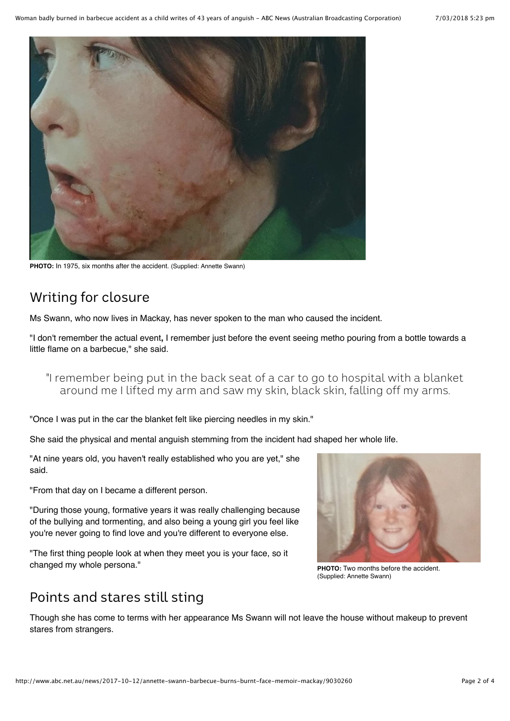

**PHOTO:** [In 1975, six months after the accident. \(Supplied: Annette Swann\)](http://www.abc.net.au/news/2017-10-12/annette-swann/9030142)

## Writing for closure

Ms Swann, who now lives in Mackay, has never spoken to the man who caused the incident.

"I don't remember the actual event**,** I remember just before the event seeing metho pouring from a bottle towards a little flame on a barbecue," she said.

"I remember being put in the back seat of a car to go to hospital with a blanket around me I lifted my arm and saw my skin, black skin, falling off my arms.

"Once I was put in the car the blanket felt like piercing needles in my skin."

She said the physical and mental anguish stemming from the incident had shaped her whole life.

"At nine years old, you haven't really established who you are yet," she said.

"From that day on I became a different person.

"During those young, formative years it was really challenging because of the bullying and tormenting, and also being a young girl you feel like you're never going to find love and you're different to everyone else.

"The first thing people look at when they meet you is your face, so it changed my whole persona."



**PHOTO:** [Two months before the accident.](http://www.abc.net.au/news/2017-10-12/annette-swann-before-the-accident/9030292) (Supplied: Annette Swann)

### Points and stares still sting

Though she has come to terms with her appearance Ms Swann will not leave the house without makeup to prevent stares from strangers.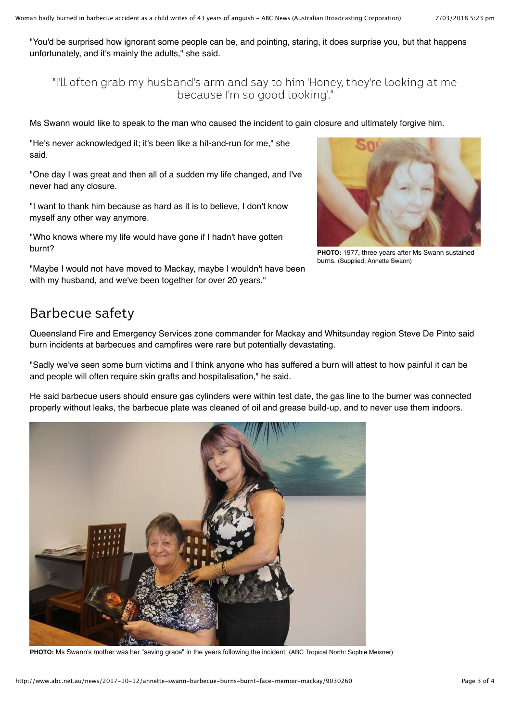"You'd be surprised how ignorant some people can be, and pointing, staring, it does surprise you, but that happens unfortunately, and it's mainly the adults," she said.

"I'll often grab my husband's arm and say to him 'Honey, they're looking at me because I'm so good looking'."

Ms Swann would like to speak to the man who caused the incident to gain closure and ultimately forgive him.

"He's never acknowledged it; it's been like a hit-and-run for me," she said.

"One day I was great and then all of a sudden my life changed, and I've never had any closure.

"I want to thank him because as hard as it is to believe, I don't know myself any other way anymore.

"Who knows where my life would have gone if I hadn't have gotten burnt?



**PHOTO:** [1977, three years after Ms Swann sustained](http://www.abc.net.au/news/2017-10-12/12-year-old-annette-swann/9034622) burns. (Supplied: Annette Swann)

"Maybe I would not have moved to Mackay, maybe I wouldn't have been with my husband, and we've been together for over 20 years."

#### Barbecue safety

Queensland Fire and Emergency Services zone commander for Mackay and Whitsunday region Steve De Pinto said burn incidents at barbecues and campfires were rare but potentially devastating.

"Sadly we've seen some burn victims and I think anyone who has suffered a burn will attest to how painful it can be and people will often require skin grafts and hospitalisation," he said.

He said barbecue users should ensure gas cylinders were within test date, the gas line to the burner was connected properly without leaks, the barbecue plate was cleaned of oil and grease build-up, and to never use them indoors.



**PHOTO:** [Ms Swann's mother was her "saving grace" in the years following the incident. \(ABC Tropical North: Sophie Meixner\)](http://www.abc.net.au/news/2017-10-12/annette-swann-and-her-mother/9038382)